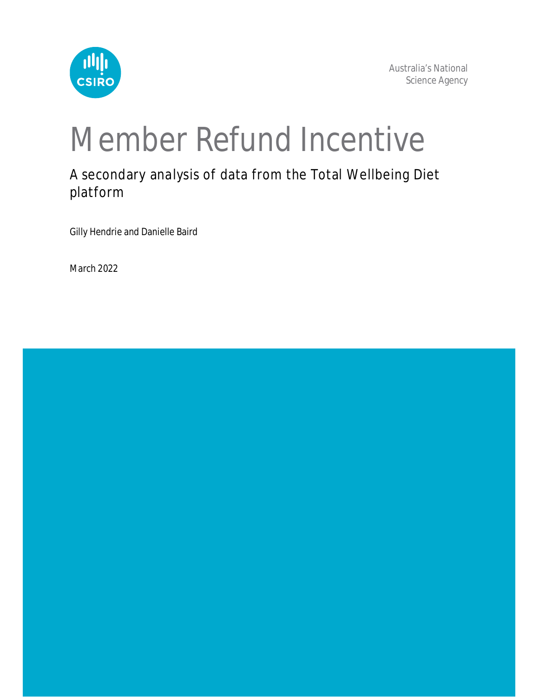

# Member Refund Incentive

A secondary analysis of data from the Total Wellbeing Diet platform

Gilly Hendrie and Danielle Baird

March 2022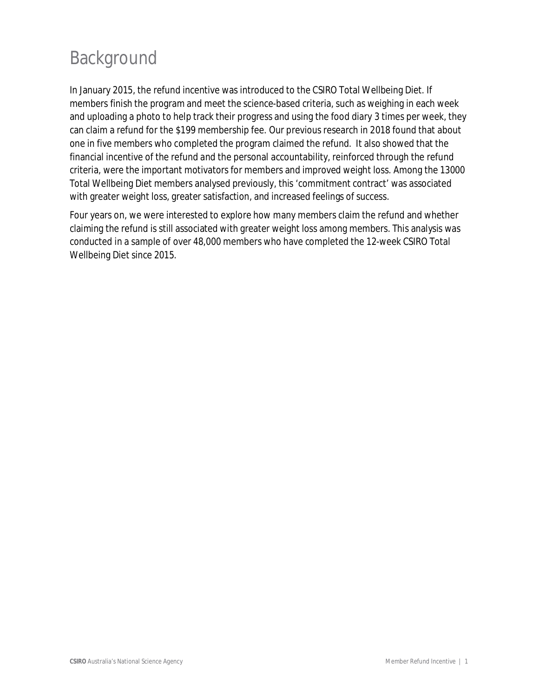## Background

In January 2015, the refund incentive was introduced to the CSIRO Total Wellbeing Diet. If members finish the program and meet the science-based criteria, such as weighing in each week and uploading a photo to help track their progress and using the food diary 3 times per week, they can claim a refund for the \$199 membership fee. Our previous research in 2018 found that about one in five members who completed the program claimed the refund. It also showed that the financial incentive of the refund and the personal accountability, reinforced through the refund criteria, were the important motivators for members and improved weight loss. Among the 13000 Total Wellbeing Diet members analysed previously, this 'commitment contract' was associated with greater weight loss, greater satisfaction, and increased feelings of success.

Four years on, we were interested to explore how many members claim the refund and whether claiming the refund is still associated with greater weight loss among members. This analysis was conducted in a sample of over 48,000 members who have completed the 12-week CSIRO Total Wellbeing Diet since 2015.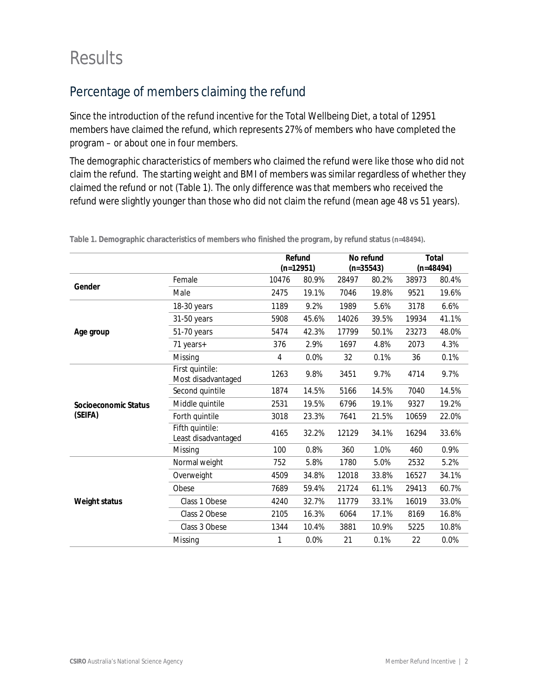## **Results**

### Percentage of members claiming the refund

Since the introduction of the refund incentive for the Total Wellbeing Diet, a total of 12951 members have claimed the refund, which represents 27% of members who have completed the program – or about one in four members.

The demographic characteristics of members who claimed the refund were like those who did not claim the refund. The starting weight and BMI of members was similar regardless of whether they claimed the refund or not (Table 1). The only difference was that members who received the refund were slightly younger than those who did not claim the refund (mean age 48 vs 51 years).

|                      |                                        |       | Refund      |       | No refund   |       | <b>Total</b> |  |
|----------------------|----------------------------------------|-------|-------------|-------|-------------|-------|--------------|--|
|                      |                                        |       | $(n=12951)$ |       | $(n=35543)$ |       | $(n=48494)$  |  |
|                      | Female                                 | 10476 | 80.9%       | 28497 | 80.2%       | 38973 | 80.4%        |  |
| Gender               | Male                                   | 2475  | 19.1%       | 7046  | 19.8%       | 9521  | 19.6%        |  |
|                      | 18-30 years                            | 1189  | 9.2%        | 1989  | 5.6%        | 3178  | 6.6%         |  |
|                      | 31-50 years                            | 5908  | 45.6%       | 14026 | 39.5%       | 19934 | 41.1%        |  |
| Age group            | 51-70 years                            | 5474  | 42.3%       | 17799 | 50.1%       | 23273 | 48.0%        |  |
|                      | 71 years+                              | 376   | 2.9%        | 1697  | 4.8%        | 2073  | 4.3%         |  |
|                      | Missing                                | 4     | 0.0%        | 32    | 0.1%        | 36    | 0.1%<br>9.7% |  |
|                      | First quintile:<br>Most disadvantaged  | 1263  | 9.8%        | 3451  | 9.7%        | 4714  |              |  |
|                      | Second quintile                        | 1874  | 14.5%       | 5166  | 14.5%       | 7040  | 14.5%        |  |
| Socioeconomic Status | Middle quintile                        | 2531  | 19.5%       | 6796  | 19.1%       | 9327  | 19.2%        |  |
| (SEIFA)              | Forth quintile                         | 3018  | 23.3%       | 7641  | 21.5%       | 10659 | 22.0%        |  |
|                      | Fifth quintile:<br>Least disadvantaged | 4165  | 32.2%       | 12129 | 34.1%       | 16294 | 33.6%        |  |
|                      | Missing                                | 100   | 0.8%        | 360   | 1.0%        | 460   | 0.9%         |  |
|                      | Normal weight                          | 752   | 5.8%        | 1780  | 5.0%        | 2532  | 5.2%         |  |
|                      | Overweight                             | 4509  | 34.8%       | 12018 | 33.8%       | 16527 | 34.1%        |  |
|                      | Obese                                  | 7689  | 59.4%       | 21724 | 61.1%       | 29413 | 60.7%        |  |
| <b>Weight status</b> | Class 1 Obese                          | 4240  | 32.7%       | 11779 | 33.1%       | 16019 | 33.0%        |  |
|                      | Class 2 Obese                          | 2105  | 16.3%       | 6064  | 17.1%       | 8169  | 16.8%        |  |
|                      | Class 3 Obese                          | 1344  | 10.4%       | 3881  | 10.9%       | 5225  | 10.8%        |  |
|                      | Missing                                | 1     | 0.0%        | 21    | 0.1%        | 22    | 0.0%         |  |

**Table 1. Demographic characteristics of members who finished the program, by refund status (n=48494).**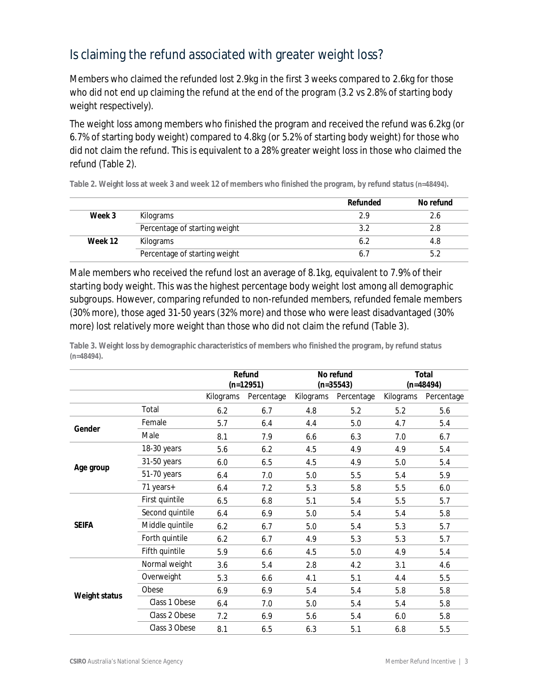#### Is claiming the refund associated with greater weight loss?

Members who claimed the refunded lost 2.9kg in the first 3 weeks compared to 2.6kg for those who did not end up claiming the refund at the end of the program (3.2 vs 2.8% of starting body weight respectively).

The weight loss among members who finished the program and received the refund was 6.2kg (or 6.7% of starting body weight) compared to 4.8kg (or 5.2% of starting body weight) for those who did not claim the refund. This is equivalent to a 28% greater weight loss in those who claimed the refund (Table 2).

**Table 2. Weight loss at week 3 and week 12 of members who finished the program, by refund status (n=48494).**

|         |                               | <b>Refunded</b> | No refund |
|---------|-------------------------------|-----------------|-----------|
| Week 3  | Kilograms                     | 2.9             |           |
|         | Percentage of starting weight |                 | 2.8       |
| Week 12 | Kilograms                     |                 | 4.8       |
|         | Percentage of starting weight |                 |           |

Male members who received the refund lost an average of 8.1kg, equivalent to 7.9% of their starting body weight. This was the highest percentage body weight lost among all demographic subgroups. However, comparing refunded to non-refunded members, refunded female members (30% more), those aged 31-50 years (32% more) and those who were least disadvantaged (30% more) lost relatively more weight than those who did not claim the refund (Table 3).

|                      |                 | Refund<br>$(n=12951)$ |            | No refund<br>$(n=35543)$ |            | <b>Total</b><br>$(n=48494)$ |            |
|----------------------|-----------------|-----------------------|------------|--------------------------|------------|-----------------------------|------------|
|                      |                 | Kilograms             | Percentage | Kilograms                | Percentage | Kilograms                   | Percentage |
|                      | Total           | 6.2                   | 6.7        | 4.8                      | 5.2        | 5.2                         | 5.6        |
| Gender               | Female          | 5.7                   | 6.4        | 4.4                      | 5.0        | 4.7                         | 5.4        |
|                      | Male            | 8.1                   | 7.9        | 6.6                      | 6.3        | 7.0                         | 6.7        |
|                      | 18-30 years     | 5.6                   | 6.2        | 4.5                      | 4.9        | 4.9                         | 5.4        |
|                      | 31-50 years     | 6.0                   | 6.5        | 4.5                      | 4.9        | 5.0                         | 5.4        |
| Age group            | 51-70 years     | 6.4                   | 7.0        | 5.0                      | 5.5        | 5.4                         | 5.9        |
|                      | 71 years+       | 6.4                   | 7.2        | 5.3                      | 5.8        | 5.5                         | 6.0        |
|                      | First quintile  | 6.5                   | 6.8        | 5.1                      | 5.4        | 5.5                         | 5.7        |
|                      | Second quintile | 6.4                   | 6.9        | 5.0                      | 5.4        | 5.4                         | 5.8        |
| <b>SEIFA</b>         | Middle quintile | 6.2                   | 6.7        | 5.0                      | 5.4        | 5.3                         | 5.7        |
|                      | Forth quintile  | 6.2                   | 6.7        | 4.9                      | 5.3        | 5.3                         | 5.7        |
|                      | Fifth quintile  | 5.9                   | 6.6        | 4.5                      | 5.0        | 4.9                         | 5.4        |
|                      | Normal weight   | 3.6                   | 5.4        | 2.8                      | 4.2        | 3.1                         | 4.6        |
|                      | Overweight      | 5.3                   | 6.6        | 4.1                      | 5.1        | 4.4                         | 5.5        |
| <b>Weight status</b> | Obese           | 6.9                   | 6.9        | 5.4                      | 5.4        | 5.8                         | 5.8        |
|                      | Class 1 Obese   | 6.4                   | 7.0        | 5.0                      | 5.4        | 5.4                         | 5.8        |
|                      | Class 2 Obese   | 7.2                   | 6.9        | 5.6                      | 5.4        | 6.0                         | 5.8        |
|                      | Class 3 Obese   | 8.1                   | 6.5        | 6.3                      | 5.1        | 6.8                         | 5.5        |

**Table 3. Weight loss by demographic characteristics of members who finished the program, by refund status (n=48494).**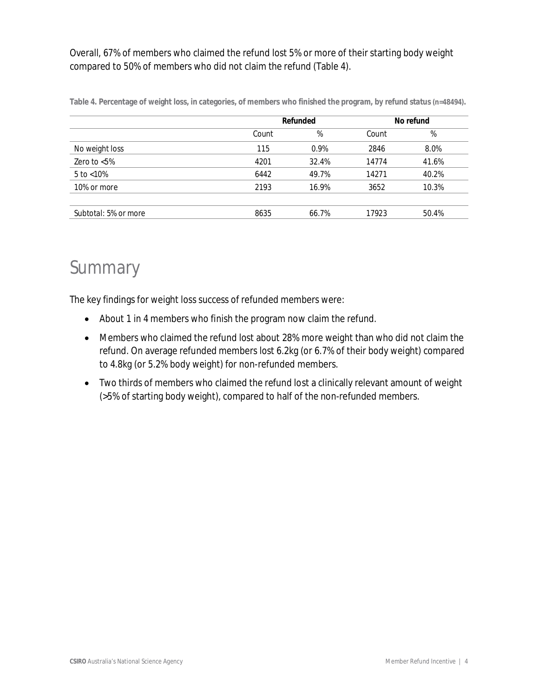Overall, 67% of members who claimed the refund lost 5% or more of their starting body weight compared to 50% of members who did not claim the refund (Table 4).

|                      |       | <b>Refunded</b> |       | No refund |
|----------------------|-------|-----------------|-------|-----------|
|                      | Count | %               | Count | %         |
| No weight loss       | 115   | 0.9%            | 2846  | 8.0%      |
| Zero to $< 5\%$      | 4201  | 32.4%           | 14774 | 41.6%     |
| 5 to $< 10\%$        | 6442  | 49.7%           | 14271 | 40.2%     |
| 10% or more          | 2193  | 16.9%           | 3652  | 10.3%     |
|                      |       |                 |       |           |
| Subtotal: 5% or more | 8635  | 66.7%           | 17923 | 50.4%     |

**Table 4. Percentage of weight loss, in categories, of members who finished the program, by refund status (n=48494).**

## Summary

The key findings for weight loss success of refunded members were:

- About 1 in 4 members who finish the program now claim the refund.
- Members who claimed the refund lost about 28% more weight than who did not claim the refund. On average refunded members lost 6.2kg (or 6.7% of their body weight) compared to 4.8kg (or 5.2% body weight) for non-refunded members.
- Two thirds of members who claimed the refund lost a clinically relevant amount of weight (>5% of starting body weight), compared to half of the non-refunded members.